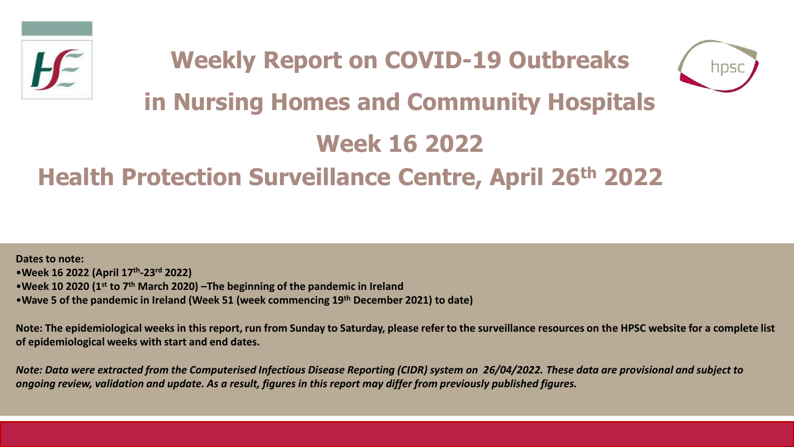

# **Weekly Report on COVID-19 Outbreaks**



# **in Nursing Homes and Community Hospitals**

# **Week 16 2022**

# **Health Protection Surveillance Centre, April 26th 2022**

**Dates to note:** •**Week 16 2022 (April 17th -23rd 2022)** •**Week 10 2020 (1st to 7th March 2020) –The beginning of the pandemic in Ireland**  •**Wave 5 of the pandemic in Ireland (Week 51 (week commencing 19th December 2021) to date)**

**Note: The epidemiological weeks in this report, run from Sunday to Saturday, please refer to the surveillance resources on the HPSC website for a complete list of epidemiological weeks with start and end dates.**

*Note: Data were extracted from the Computerised Infectious Disease Reporting (CIDR) system on 26/04/2022. These data are provisional and subject to ongoing review, validation and update. As a result, figures in this report may differ from previously published figures.*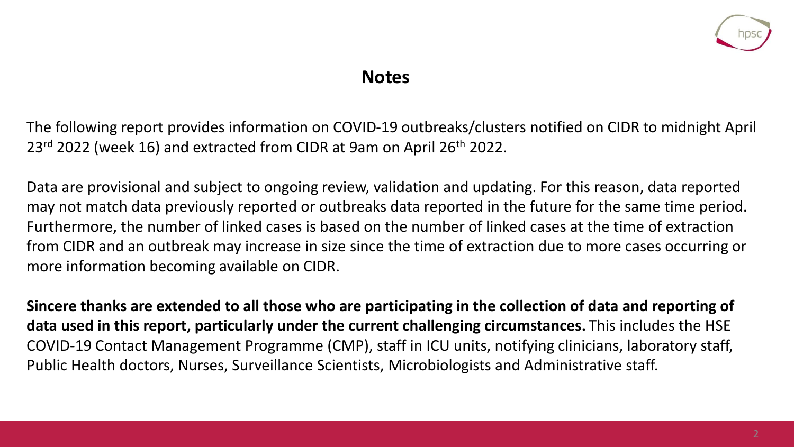

#### **Notes**

The following report provides information on COVID-19 outbreaks/clusters notified on CIDR to midnight April 23<sup>rd</sup> 2022 (week 16) and extracted from CIDR at 9am on April 26<sup>th</sup> 2022.

Data are provisional and subject to ongoing review, validation and updating. For this reason, data reported may not match data previously reported or outbreaks data reported in the future for the same time period. Furthermore, the number of linked cases is based on the number of linked cases at the time of extraction from CIDR and an outbreak may increase in size since the time of extraction due to more cases occurring or more information becoming available on CIDR.

**Sincere thanks are extended to all those who are participating in the collection of data and reporting of data used in this report, particularly under the current challenging circumstances.** This includes the HSE COVID-19 Contact Management Programme (CMP), staff in ICU units, notifying clinicians, laboratory staff, Public Health doctors, Nurses, Surveillance Scientists, Microbiologists and Administrative staff.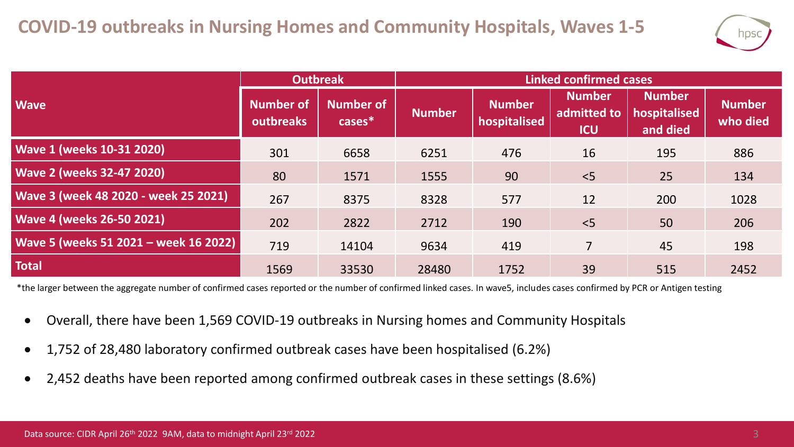

|                                       | <b>Outbreak</b>               |                               | <b>Linked confirmed cases</b> |                               |                                            |                                           |                           |  |
|---------------------------------------|-------------------------------|-------------------------------|-------------------------------|-------------------------------|--------------------------------------------|-------------------------------------------|---------------------------|--|
| <b>Wave</b>                           | <b>Number of</b><br>outbreaks | <b>Number of</b><br>$cases^*$ | <b>Number</b>                 | <b>Number</b><br>hospitalised | <b>Number</b><br>admitted to<br><b>ICU</b> | <b>Number</b><br>hospitalised<br>and died | <b>Number</b><br>who died |  |
| <b>Wave 1 (weeks 10-31 2020)</b>      | 301                           | 6658                          | 6251                          | 476                           | 16                                         | 195                                       | 886                       |  |
| <b>Wave 2 (weeks 32-47 2020)</b>      | 80                            | 1571                          | 1555                          | 90                            | < 5                                        | 25                                        | 134                       |  |
| Wave 3 (week 48 2020 - week 25 2021)  | 267                           | 8375                          | 8328                          | 577                           | 12                                         | 200                                       | 1028                      |  |
| <b>Wave 4 (weeks 26-50 2021)</b>      | 202                           | 2822                          | 2712                          | 190                           | $<$ 5                                      | 50                                        | 206                       |  |
| Wave 5 (weeks 51 2021 - week 16 2022) | 719                           | 14104                         | 9634                          | 419                           | $\overline{7}$                             | 45                                        | 198                       |  |
| <b>Total</b>                          | 1569                          | 33530                         | 28480                         | 1752                          | 39                                         | 515                                       | 2452                      |  |

\*the larger between the aggregate number of confirmed cases reported or the number of confirmed linked cases. In wave5, includes cases confirmed by PCR or Antigen testing

- Overall, there have been 1,569 COVID-19 outbreaks in Nursing homes and Community Hospitals
- 1,752 of 28,480 laboratory confirmed outbreak cases have been hospitalised (6.2%)
- 2,452 deaths have been reported among confirmed outbreak cases in these settings (8.6%)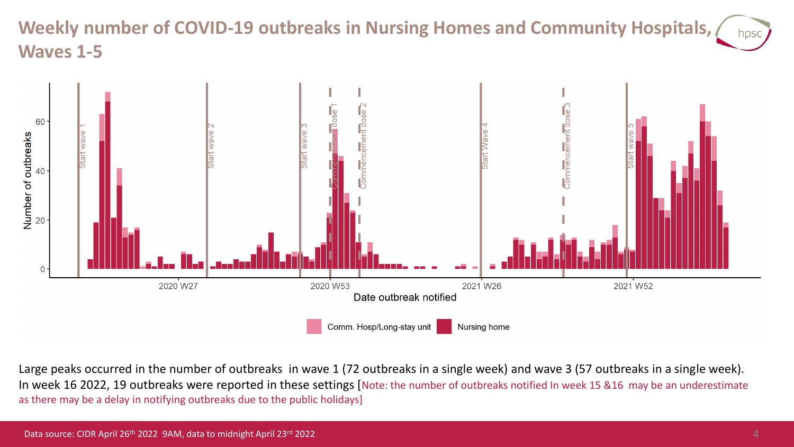# **Weekly number of COVID-19 outbreaks in Nursing Homes and Community Hospitals, Waves 1-5**



Large peaks occurred in the number of outbreaks in wave 1 (72 outbreaks in a single week) and wave 3 (57 outbreaks in a single week). In week 16 2022, 19 outbreaks were reported in these settings [Note: the number of outbreaks notified In week 15 &16 may be an underestimate as there may be a delay in notifying outbreaks due to the public holidays]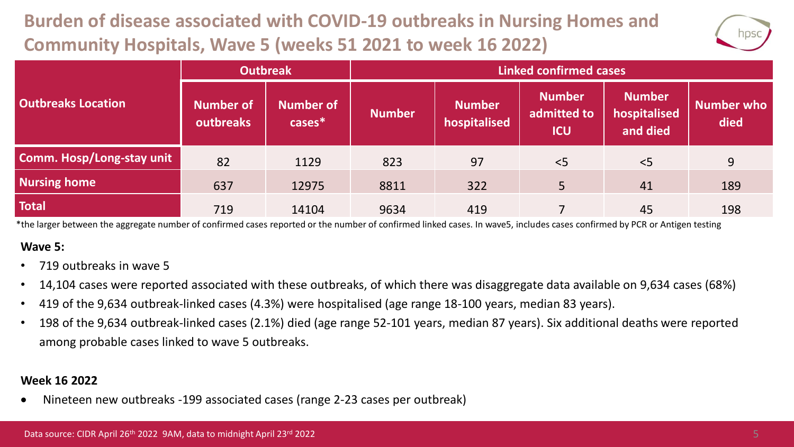# **Burden of disease associated with COVID-19 outbreaks in Nursing Homes and Community Hospitals, Wave 5 (weeks 51 2021 to week 16 2022)**



|                           | <b>Outbreak</b>        |                               | <b>Linked confirmed cases</b> |                               |                                            |                                           |                           |  |
|---------------------------|------------------------|-------------------------------|-------------------------------|-------------------------------|--------------------------------------------|-------------------------------------------|---------------------------|--|
| <b>Outbreaks Location</b> | Number of<br>outbreaks | <b>Number of</b><br>$cases^*$ | <b>Number</b>                 | <b>Number</b><br>hospitalised | <b>Number</b><br>admitted to<br><b>ICU</b> | <b>Number</b><br>hospitalised<br>and died | <b>Number who</b><br>died |  |
| Comm. Hosp/Long-stay unit | 82                     | 1129                          | 823                           | 97                            | < 5                                        | < 5                                       | 9                         |  |
| <b>Nursing home</b>       | 637                    | 12975                         | 8811                          | 322                           | 5                                          | 41                                        | 189                       |  |
| <b>Total</b>              | 719                    | 14104                         | 9634                          | 419                           |                                            | 45                                        | 198                       |  |

\*the larger between the aggregate number of confirmed cases reported or the number of confirmed linked cases. In wave5, includes cases confirmed by PCR or Antigen testing

#### **Wave 5:**

- 719 outbreaks in wave 5
- 14,104 cases were reported associated with these outbreaks, of which there was disaggregate data available on 9,634 cases (68%)
- 419 of the 9,634 outbreak-linked cases (4.3%) were hospitalised (age range 18-100 years, median 83 years).
- 198 of the 9,634 outbreak-linked cases (2.1%) died (age range 52-101 years, median 87 years). Six additional deaths were reported among probable cases linked to wave 5 outbreaks.

#### **Week 16 2022**

• Nineteen new outbreaks -199 associated cases (range 2-23 cases per outbreak)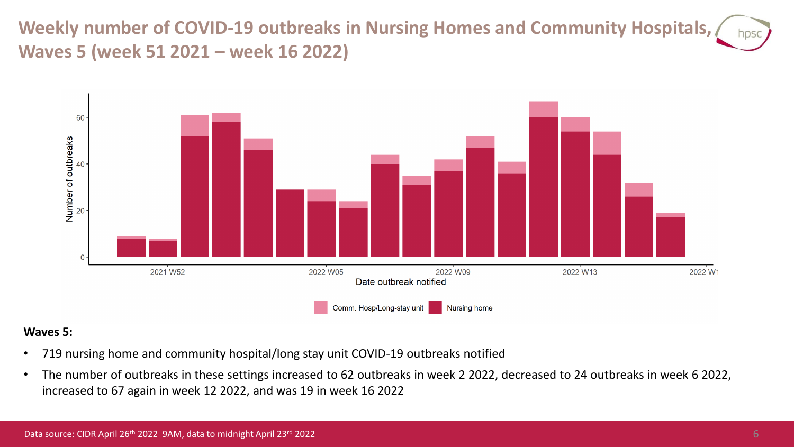**Weekly number of COVID-19 outbreaks in Nursing Homes and Community Hospitals, Waves 5 (week 51 2021 – week 16 2022)**



#### **Waves 5:**

- 719 nursing home and community hospital/long stay unit COVID-19 outbreaks notified
- The number of outbreaks in these settings increased to 62 outbreaks in week 2 2022, decreased to 24 outbreaks in week 6 2022, increased to 67 again in week 12 2022, and was 19 in week 16 2022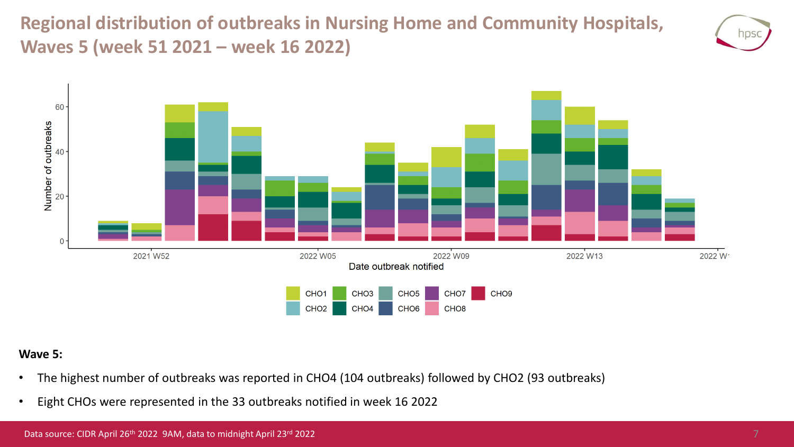**Regional distribution of outbreaks in Nursing Home and Community Hospitals, Waves 5 (week 51 2021 – week 16 2022)**





#### **Wave 5:**

- The highest number of outbreaks was reported in CHO4 (104 outbreaks) followed by CHO2 (93 outbreaks)
- Eight CHOs were represented in the 33 outbreaks notified in week 16 2022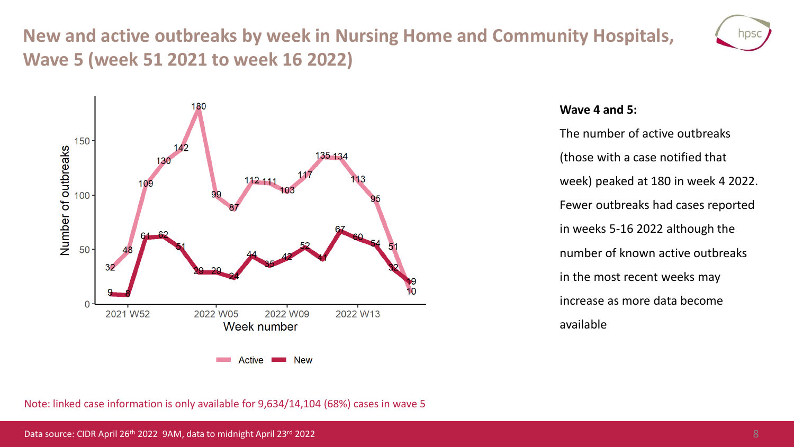## **New and active outbreaks by week in Nursing Home and Community Hospitals, Wave 5 (week 51 2021 to week 16 2022)**





#### **Wave 4 and 5:**

The number of active outbreaks (those with a case notified that week) peaked at 180 in week 4 2022. Fewer outbreaks had cases reported in weeks 5-16 2022 although the number of known active outbreaks in the most recent weeks may increase as more data become available

Note: linked case information is only available for 9,634/14,104 (68%) cases in wave 5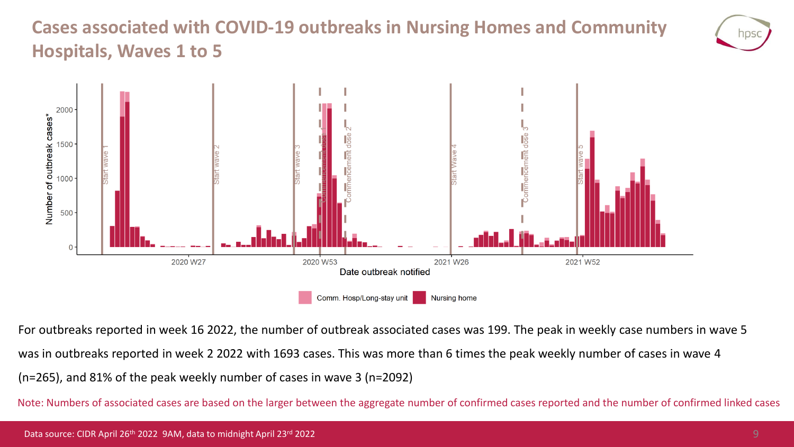# **Cases associated with COVID-19 outbreaks in Nursing Homes and Community Hospitals, Waves 1 to 5**





For outbreaks reported in week 16 2022, the number of outbreak associated cases was 199. The peak in weekly case numbers in wave 5

was in outbreaks reported in week 2 2022 with 1693 cases. This was more than 6 times the peak weekly number of cases in wave 4

(n=265), and 81% of the peak weekly number of cases in wave 3 (n=2092)

Note: Numbers of associated cases are based on the larger between the aggregate number of confirmed cases reported and the number of confirmed linked cases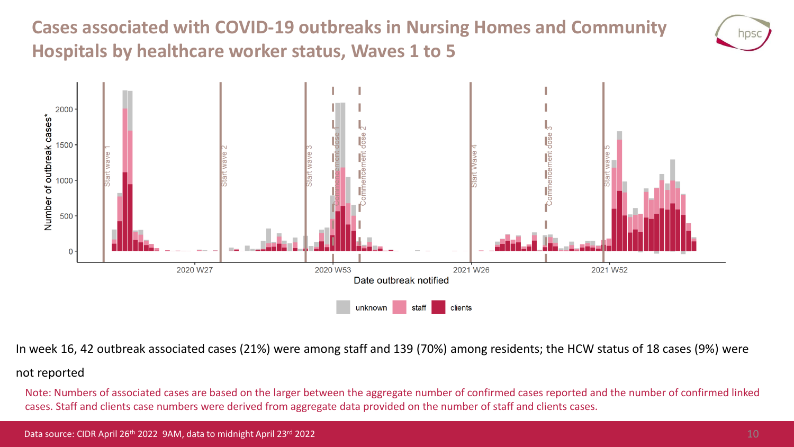**Cases associated with COVID-19 outbreaks in Nursing Homes and Community Hospitals by healthcare worker status, Waves 1 to 5**





In week 16, 42 outbreak associated cases (21%) were among staff and 139 (70%) among residents; the HCW status of 18 cases (9%) were

#### not reported

Note: Numbers of associated cases are based on the larger between the aggregate number of confirmed cases reported and the number of confirmed linked cases. Staff and clients case numbers were derived from aggregate data provided on the number of staff and clients cases.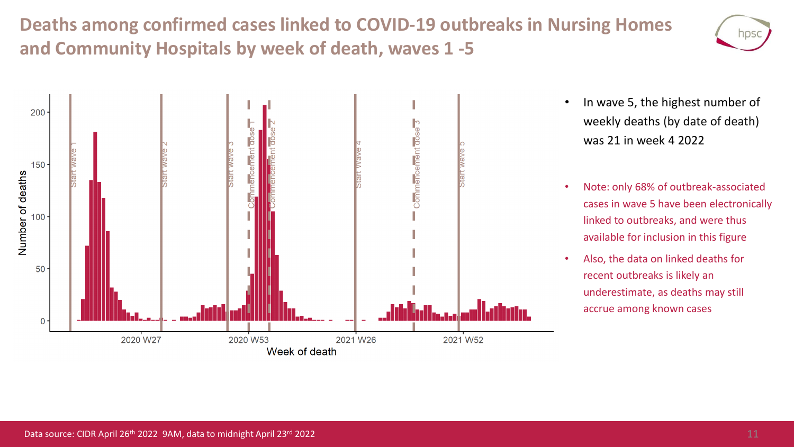**Deaths among confirmed cases linked to COVID-19 outbreaks in Nursing Homes and Community Hospitals by week of death, waves 1 -5**





- In wave 5, the highest number of weekly deaths (by date of death) was 21 in week 4 2022
- Note: only 68% of outbreak-associated cases in wave 5 have been electronically linked to outbreaks, and were thus available for inclusion in this figure
- Also, the data on linked deaths for recent outbreaks is likely an underestimate, as deaths may still accrue among known cases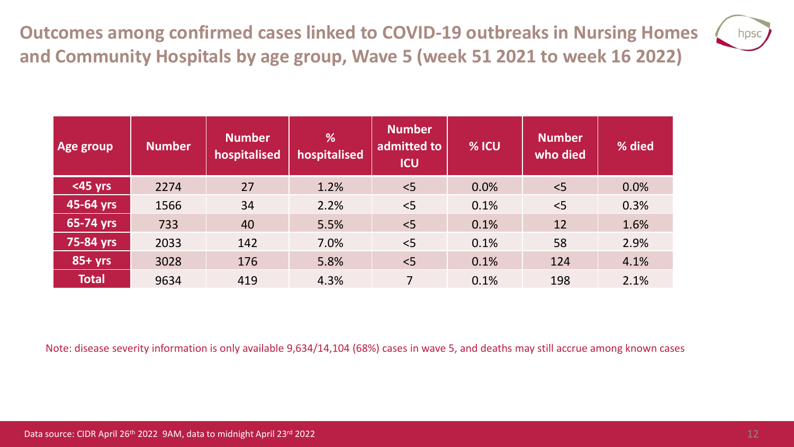**Outcomes among confirmed cases linked to COVID-19 outbreaks in Nursing Homes and Community Hospitals by age group, Wave 5 (week 51 2021 to week 16 2022)**



| Age group    | <b>Number</b> | <b>Number</b><br>hospitalised | %<br>hospitalised | <b>Number</b><br>admitted to<br><b>ICU</b> | % ICU | <b>Number</b><br>who died | % died |
|--------------|---------------|-------------------------------|-------------------|--------------------------------------------|-------|---------------------------|--------|
| $<$ 45 yrs   | 2274          | 27                            | 1.2%              | < 5                                        | 0.0%  | < 5                       | 0.0%   |
| 45-64 yrs    | 1566          | 34                            | 2.2%              | < 5                                        | 0.1%  | < 5                       | 0.3%   |
| 65-74 yrs    | 733           | 40                            | 5.5%              | < 5                                        | 0.1%  | 12                        | 1.6%   |
| 75-84 yrs    | 2033          | 142                           | 7.0%              | < 5                                        | 0.1%  | 58                        | 2.9%   |
| $85+yrs$     | 3028          | 176                           | 5.8%              | < 5                                        | 0.1%  | 124                       | 4.1%   |
| <b>Total</b> | 9634          | 419                           | 4.3%              |                                            | 0.1%  | 198                       | 2.1%   |

Note: disease severity information is only available 9,634/14,104 (68%) cases in wave 5, and deaths may still accrue among known cases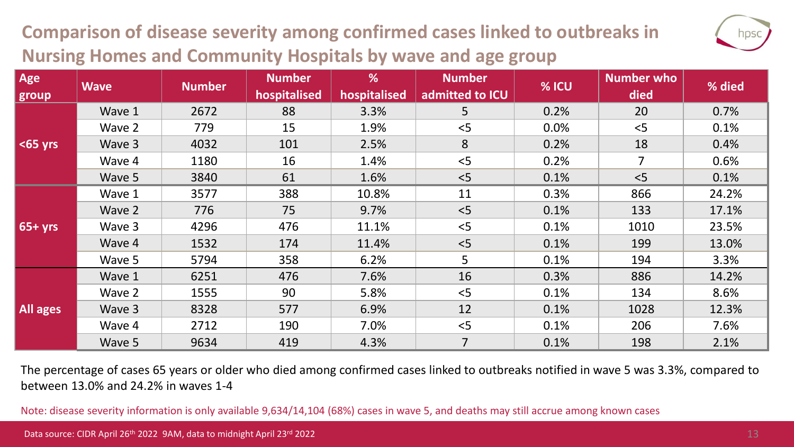# **Comparison of disease severity among confirmed cases linked to outbreaks in Nursing Homes and Community Hospitals by wave and age group**

| u.<br>Π<br>×, |
|---------------|
|               |

| Age<br>group    | <b>Wave</b> | <b>Number</b> | <b>Number</b><br>hospitalised | %<br>hospitalised | <b>Number</b><br>admitted to ICU | % ICU | <b>Number who</b><br>died | % died |
|-----------------|-------------|---------------|-------------------------------|-------------------|----------------------------------|-------|---------------------------|--------|
|                 | Wave 1      | 2672          | 88                            | 3.3%              | 5                                | 0.2%  | 20                        | 0.7%   |
|                 | Wave 2      | 779           | 15                            | 1.9%              | < 5                              | 0.0%  | < 5                       | 0.1%   |
| $65$ yrs        | Wave 3      | 4032          | 101                           | 2.5%              | 8                                | 0.2%  | 18                        | 0.4%   |
|                 | Wave 4      | 1180          | 16                            | 1.4%              | < 5                              | 0.2%  | $\overline{7}$            | 0.6%   |
|                 | Wave 5      | 3840          | 61                            | 1.6%              | < 5                              | 0.1%  | < 5                       | 0.1%   |
|                 | Wave 1      | 3577          | 388                           | 10.8%             | 11                               | 0.3%  | 866                       | 24.2%  |
|                 | Wave 2      | 776           | 75                            | 9.7%              | < 5                              | 0.1%  | 133                       | 17.1%  |
| $65+yrs$        | Wave 3      | 4296          | 476                           | 11.1%             | < 5                              | 0.1%  | 1010                      | 23.5%  |
|                 | Wave 4      | 1532          | 174                           | 11.4%             | < 5                              | 0.1%  | 199                       | 13.0%  |
|                 | Wave 5      | 5794          | 358                           | 6.2%              | 5                                | 0.1%  | 194                       | 3.3%   |
| <b>All ages</b> | Wave 1      | 6251          | 476                           | 7.6%              | 16                               | 0.3%  | 886                       | 14.2%  |
|                 | Wave 2      | 1555          | 90                            | 5.8%              | < 5                              | 0.1%  | 134                       | 8.6%   |
|                 | Wave 3      | 8328          | 577                           | 6.9%              | 12                               | 0.1%  | 1028                      | 12.3%  |
|                 | Wave 4      | 2712          | 190                           | 7.0%              | < 5                              | 0.1%  | 206                       | 7.6%   |
|                 | Wave 5      | 9634          | 419                           | 4.3%              | $\overline{7}$                   | 0.1%  | 198                       | 2.1%   |

The percentage of cases 65 years or older who died among confirmed cases linked to outbreaks notified in wave 5 was 3.3%, compared to between 13.0% and 24.2% in waves 1-4

Note: disease severity information is only available 9,634/14,104 (68%) cases in wave 5, and deaths may still accrue among known cases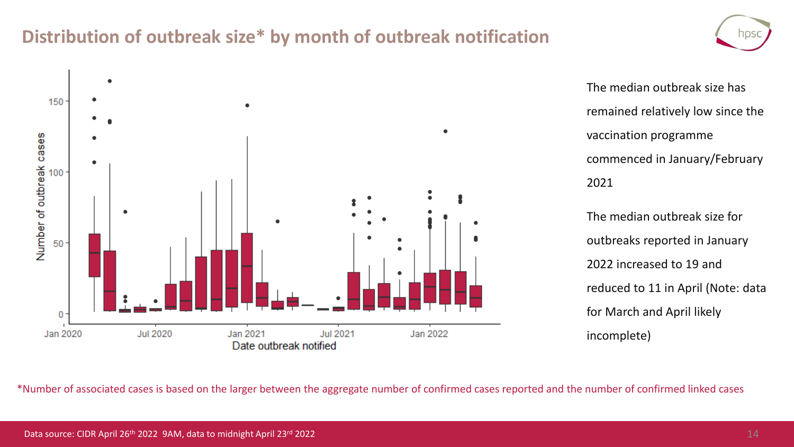### **Distribution of outbreak size\* by month of outbreak notification**



The median outbreak size has remained relatively low since the vaccination programme commenced in January/February 2021

The median outbreak size for outbreaks reported in January 2022 increased to 19 and reduced to 11 in April (Note: data for March and April likely incomplete)

\*Number of associated cases is based on the larger between the aggregate number of confirmed cases reported and the number of confirmed linked cases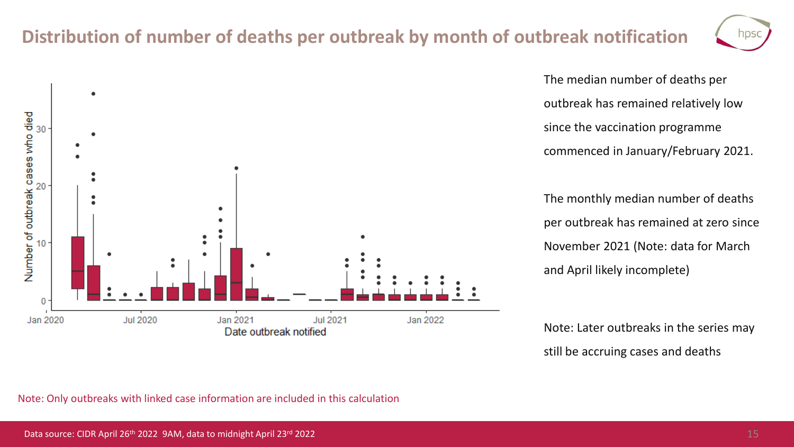### **Distribution of number of deaths per outbreak by month of outbreak notification**



The median number of deaths per outbreak has remained relatively low since the vaccination programme commenced in January/February 2021.

The monthly median number of deaths per outbreak has remained at zero since November 2021 (Note: data for March and April likely incomplete)

Note: Later outbreaks in the series may still be accruing cases and deaths



Note: Only outbreaks with linked case information are included in this calculation

 $\overline{\phantom{a}}$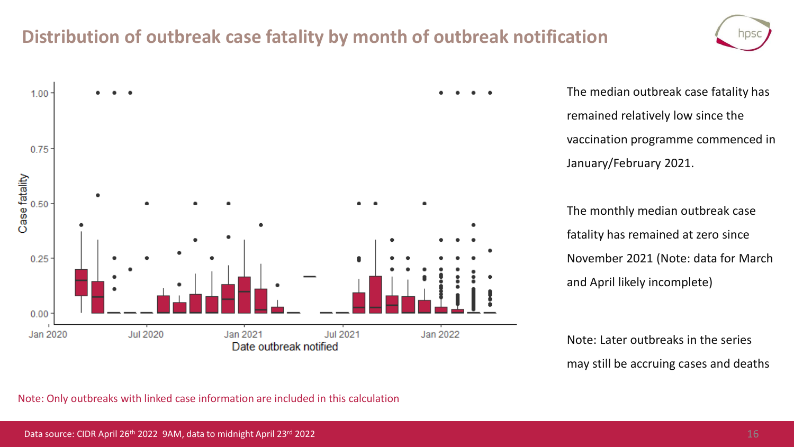### **Distribution of outbreak case fatality by month of outbreak notification**



The median outbreak case fatality has remained relatively low since the vaccination programme commenced in January/February 2021.

The monthly median outbreak case fatality has remained at zero since November 2021 (Note: data for March and April likely incomplete)

Note: Later outbreaks in the series may still be accruing cases and deaths

Note: Only outbreaks with linked case information are included in this calculation